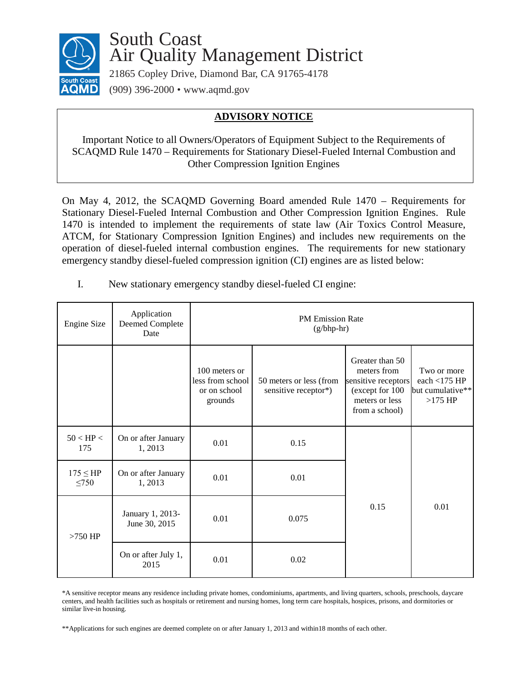

## South Coast Air Quality Management District

21865 Copley Drive, Diamond Bar, CA 91765-4178 (909) 396-2000 • [www.aqmd.gov](http://www.aqmd.gov/)

## **ADVISORY NOTICE**

Important Notice to all Owners/Operators of Equipment Subject to the Requirements of SCAQMD Rule 1470 – Requirements for Stationary Diesel-Fueled Internal Combustion and Other Compression Ignition Engines

On May 4, 2012, the SCAQMD Governing Board amended Rule 1470 – Requirements for Stationary Diesel-Fueled Internal Combustion and Other Compression Ignition Engines. Rule 1470 is intended to implement the requirements of state law (Air Toxics Control Measure, ATCM, for Stationary Compression Ignition Engines) and includes new requirements on the operation of diesel-fueled internal combustion engines. The requirements for new stationary emergency standby diesel-fueled compression ignition (CI) engines are as listed below:

| <b>Engine Size</b>           | Application<br>Deemed Complete<br>Date | <b>PM Emission Rate</b><br>$(g/bhp-hr)$                      |                                                 |                                                                                                              |                                                                |
|------------------------------|----------------------------------------|--------------------------------------------------------------|-------------------------------------------------|--------------------------------------------------------------------------------------------------------------|----------------------------------------------------------------|
|                              |                                        | 100 meters or<br>less from school<br>or on school<br>grounds | 50 meters or less (from<br>sensitive receptor*) | Greater than 50<br>meters from<br>sensitive receptors<br>(except for 100<br>meters or less<br>from a school) | Two or more<br>each <175 $HP$<br>but cumulative**<br>$>175$ HP |
| $50 <$ HP $<$<br>175         | On or after January<br>1,2013          | 0.01                                                         | 0.15                                            | 0.15                                                                                                         | 0.01                                                           |
| $175 \leq H$ P<br>$\leq 750$ | On or after January<br>1,2013          | 0.01                                                         | 0.01                                            |                                                                                                              |                                                                |
| $>750$ HP                    | January 1, 2013-<br>June 30, 2015      | 0.01                                                         | 0.075                                           |                                                                                                              |                                                                |
|                              | On or after July 1,<br>2015            | 0.01                                                         | 0.02                                            |                                                                                                              |                                                                |

I. New stationary emergency standby diesel-fueled CI engine:

\*A sensitive receptor means any residence including private homes, condominiums, apartments, and living quarters, schools, preschools, daycare centers, and health facilities such as hospitals or retirement and nursing homes, long term care hospitals, hospices, prisons, and dormitories or similar live-in housing.

\*\*Applications for such engines are deemed complete on or after January 1, 2013 and within18 months of each other.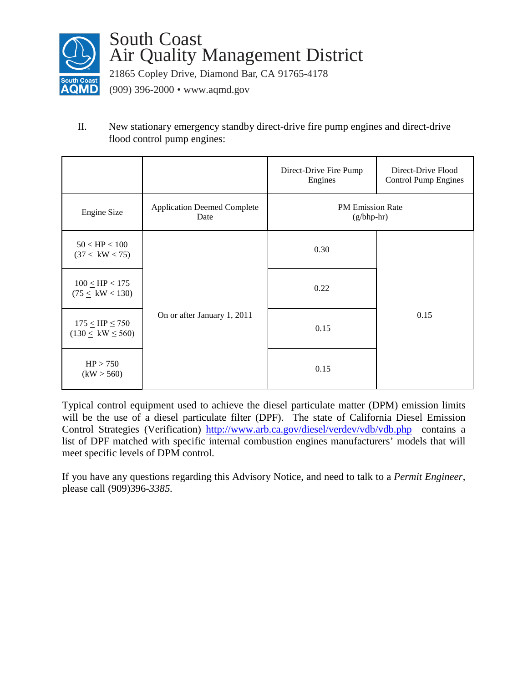

## South Coast Air Quality Management District

21865 Copley Drive, Diamond Bar, CA 91765-4178

(909) 396-2000 • [www.aqmd.gov](http://www.aqmd.gov/)

II. New stationary emergency standby direct-drive fire pump engines and direct-drive flood control pump engines:

|                                                                   |                                            | Direct-Drive Fire Pump<br>Engines       | Direct-Drive Flood<br><b>Control Pump Engines</b> |  |
|-------------------------------------------------------------------|--------------------------------------------|-----------------------------------------|---------------------------------------------------|--|
| Engine Size                                                       | <b>Application Deemed Complete</b><br>Date | <b>PM</b> Emission Rate<br>$(g/bhp-hr)$ |                                                   |  |
| $50 <$ HP $< 100$<br>(37 < kW < 75)                               |                                            | 0.30                                    |                                                   |  |
| $100 \leq HP < 175$<br>$(75 \leq \text{ kW} < 130)$               |                                            | 0.22                                    | 0.15                                              |  |
| $175 \leq \text{HP} \leq 750$<br>$(130 \leq \text{ kW} \leq 560)$ | On or after January 1, 2011                | 0.15                                    |                                                   |  |
| HP > 750<br>(kW > 560)                                            |                                            | 0.15                                    |                                                   |  |

Typical control equipment used to achieve the diesel particulate matter (DPM) emission limits will be the use of a diesel particulate filter (DPF). The state of California Diesel Emission Control Strategies (Verification) <http://www.arb.ca.gov/diesel/verdev/vdb/vdb.php>contains a list of DPF matched with specific internal combustion engines manufacturers' models that will meet specific levels of DPM control.

If you have any questions regarding this Advisory Notice, and need to talk to a *Permit Engineer*, please call (909)396-*3385.*